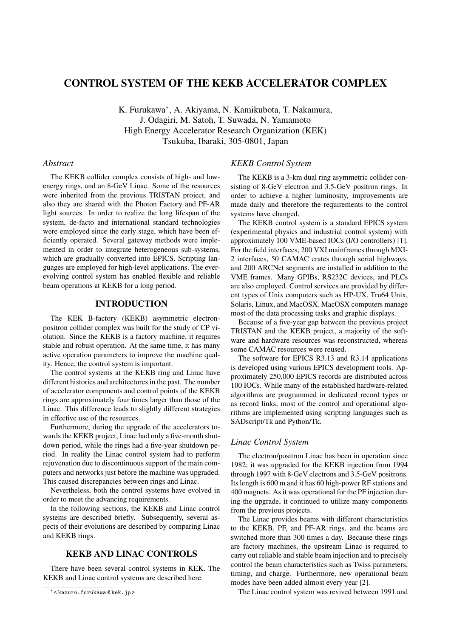# CONTROL SYSTEM OF THE KEKB ACCELERATOR COMPLEX

K. Furukawa<sup>∗</sup> , A. Akiyama, N. Kamikubota, T. Nakamura, J. Odagiri, M. Satoh, T. Suwada, N. Yamamoto High Energy Accelerator Research Organization (KEK) Tsukuba, Ibaraki, 305-0801, Japan

### *Abstract*

The KEKB collider complex consists of high- and lowenergy rings, and an 8-GeV Linac. Some of the resources were inherited from the previous TRISTAN project, and also they are shared with the Photon Factory and PF-AR light sources. In order to realize the long lifespan of the system, de-facto and international standard technologies were employed since the early stage, which have been efficiently operated. Several gateway methods were implemented in order to integrate heterogeneous sub-systems, which are gradually converted into EPICS. Scripting languages are employed for high-level applications. The everevolving control system has enabled flexible and reliable beam operations at KEKB for a long period.

## INTRODUCTION

The KEK B-factory (KEKB) asymmetric electronpositron collider complex was built for the study of CP violation. Since the KEKB is a factory machine, it requires stable and robust operation. At the same time, it has many active operation parameters to improve the machine quality. Hence, the control system is important.

The control systems at the KEKB ring and Linac have different histories and architectures in the past. The number of accelerator components and control points of the KEKB rings are approximately four times larger than those of the Linac. This difference leads to slightly different strategies in effective use of the resources.

Furthermore, during the upgrade of the accelerators towards the KEKB project, Linac had only a five-month shutdown period, while the rings had a five-year shutdown period. In reality the Linac control system had to perform rejuvenation due to discontinuous support of the main computers and networks just before the machine was upgraded. This caused discrepancies between rings and Linac.

Nevertheless, both the control systems have evolved in order to meet the advancing requirements.

In the following sections, the KEKB and Linac control systems are described briefly. Subsequently, several aspects of their evolutions are described by comparing Linac and KEKB rings.

# KEKB AND LINAC CONTROLS

There have been several control systems in KEK. The KEKB and Linac control systems are described here.

# *KEKB Control System*

The KEKB is a 3-km dual ring asymmetric collider consisting of 8-GeV electron and 3.5-GeV positron rings. In order to achieve a higher luminosity, improvements are made daily and therefore the requirements to the control systems have changed.

The KEKB control system is a standard EPICS system (experimental physics and industrial control system) with approximately 100 VME-based IOCs (I/O controllers) [1]. For the field interfaces, 200 VXI mainframes through MXI-2 interfaces, 50 CAMAC crates through serial highways, and 200 ARCNet segments are installed in addition to the VME frames. Many GPIBs, RS232C devices, and PLCs are also employed. Control services are provided by different types of Unix computers such as HP-UX, Tru64 Unix, Solaris, Linux, and MacOSX. MacOSX computers manage most of the data processing tasks and graphic displays.

Because of a five-year gap between the previous project TRISTAN and the KEKB project, a majority of the software and hardware resources was reconstructed, whereas some CAMAC resources were reused.

The software for EPICS R3.13 and R3.14 applications is developed using various EPICS development tools. Approximately 250,000 EPICS records are distributed across 100 IOCs. While many of the established hardware-related algorithms are programmed in dedicated record types or as record links, most of the control and operational algorithms are implemented using scripting languages such as SADscript/Tk and Python/Tk.

# *Linac Control System*

The electron/positron Linac has been in operation since 1982; it was upgraded for the KEKB injection from 1994 through 1997 with 8-GeV electrons and 3.5-GeV positrons. Its length is 600 m and it has 60 high-power RF stations and 400 magnets. As it was operational for the PF injection during the upgrade, it continued to utilize many components from the previous projects.

The Linac provides beams with different characteristics to the KEKB, PF, and PF-AR rings, and the beams are switched more than 300 times a day. Because these rings are factory machines, the upstream Linac is required to carry out reliable and stable beam injection and to precisely control the beam characteristics such as Twiss parameters, timing, and charge. Furthermore, new operational beam modes have been added almost every year [2].

The Linac control system was revived between 1991 and

<sup>∗</sup> < kazuro.furukawa @ kek.jp >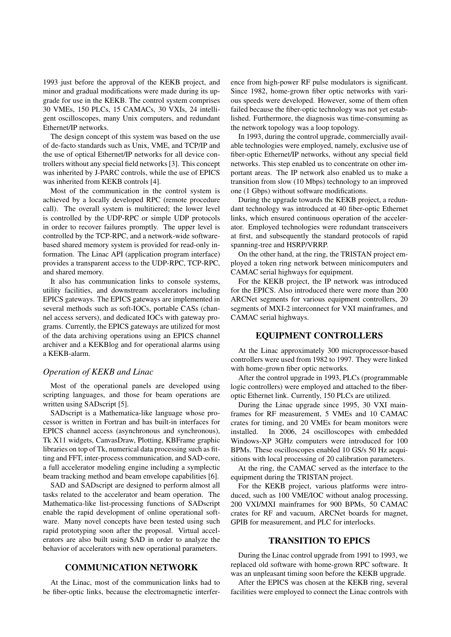1993 just before the approval of the KEKB project, and minor and gradual modifications were made during its upgrade for use in the KEKB. The control system comprises 30 VMEs, 150 PLCs, 15 CAMACs, 30 VXIs, 24 intelligent oscilloscopes, many Unix computers, and redundant Ethernet/IP networks.

The design concept of this system was based on the use of de-facto standards such as Unix, VME, and TCP/IP and the use of optical Ethernet/IP networks for all device controllers without any special field networks [3]. This concept was inherited by J-PARC controls, while the use of EPICS was inherited from KEKB controls [4].

Most of the communication in the control system is achieved by a locally developed RPC (remote procedure call). The overall system is multitiered; the lower level is controlled by the UDP-RPC or simple UDP protocols in order to recover failures promptly. The upper level is controlled by the TCP-RPC, and a network-wide softwarebased shared memory system is provided for read-only information. The Linac API (application program interface) provides a transparent access to the UDP-RPC, TCP-RPC, and shared memory.

It also has communication links to console systems, utility facilities, and downstream accelerators including EPICS gateways. The EPICS gateways are implemented in several methods such as soft-IOCs, portable CASs (channel access servers), and dedicated IOCs with gateway programs. Currently, the EPICS gateways are utilized for most of the data archiving operations using an EPICS channel archiver and a KEKBlog and for operational alarms using a KEKB-alarm.

#### *Operation of KEKB and Linac*

Most of the operational panels are developed using scripting languages, and those for beam operations are written using SADscript [5].

SADscript is a Mathematica-like language whose processor is written in Fortran and has built-in interfaces for EPICS channel access (asynchronous and synchronous), Tk X11 widgets, CanvasDraw, Plotting, KBFrame graphic libraries on top of Tk, numerical data processing such as fitting and FFT, inter-process communication, and SAD-core, a full accelerator modeling engine including a symplectic beam tracking method and beam envelope capabilities [6].

SAD and SADscript are designed to perform almost all tasks related to the accelerator and beam operation. The Mathematica-like list-processing functions of SADscript enable the rapid development of online operational software. Many novel concepts have been tested using such rapid prototyping soon after the proposal. Virtual accelerators are also built using SAD in order to analyze the behavior of accelerators with new operational parameters.

# COMMUNICATION NETWORK

At the Linac, most of the communication links had to be fiber-optic links, because the electromagnetic interference from high-power RF pulse modulators is significant. Since 1982, home-grown fiber optic networks with various speeds were developed. However, some of them often failed because the fiber-optic technology was not yet established. Furthermore, the diagnosis was time-consuming as the network topology was a loop topology.

In 1993, during the control upgrade, commercially available technologies were employed, namely, exclusive use of fiber-optic Ethernet/IP networks, without any special field networks. This step enabled us to concentrate on other important areas. The IP network also enabled us to make a transition from slow (10 Mbps) technology to an improved one (1 Gbps) without software modifications.

During the upgrade towards the KEKB project, a redundant technology was introduced at 40 fiber-optic Ethernet links, which ensured continuous operation of the accelerator. Employed technologies were redundant transceivers at first, and subsequently the standard protocols of rapid spanning-tree and HSRP/VRRP.

On the other hand, at the ring, the TRISTAN project employed a token ring network between minicomputers and CAMAC serial highways for equipment.

For the KEKB project, the IP network was introduced for the EPICS. Also introduced there were more than 200 ARCNet segments for various equipment controllers, 20 segments of MXI-2 interconnect for VXI mainframes, and CAMAC serial highways.

### EQUIPMENT CONTROLLERS

At the Linac approximately 300 microprocessor-based controllers were used from 1982 to 1997. They were linked with home-grown fiber optic networks.

After the control upgrade in 1993, PLCs (programmable logic controllers) were employed and attached to the fiberoptic Ethernet link. Currently, 150 PLCs are utilized.

During the Linac upgrade since 1995, 30 VXI mainframes for RF measurement, 5 VMEs and 10 CAMAC crates for timing, and 20 VMEs for beam monitors were installed. In 2006, 24 oscilloscopes with embedded Windows-XP 3GHz computers were introduced for 100 BPMs. These oscilloscopes enabled 10 GS/s 50 Hz acquisitions with local processing of 20 calibration parameters.

At the ring, the CAMAC served as the interface to the equipment during the TRISTAN project.

For the KEKB project, various platforms were introduced, such as 100 VME/IOC without analog processing, 200 VXI/MXI mainframes for 900 BPMs, 50 CAMAC crates for RF and vacuum, ARCNet boards for magnet, GPIB for measurement, and PLC for interlocks.

#### TRANSITION TO EPICS

During the Linac control upgrade from 1991 to 1993, we replaced old software with home-grown RPC software. It was an unpleasant timing soon before the KEKB upgrade.

After the EPICS was chosen at the KEKB ring, several facilities were employed to connect the Linac controls with